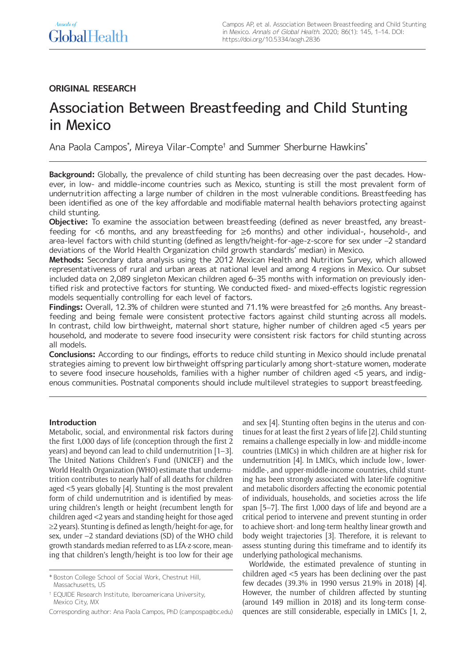# **ORIGINAL RESEARCH**

# Association Between Breastfeeding and Child Stunting in Mexico

Ana Paola Campos\* , Mireya Vilar-Compte† and Summer Sherburne Hawkins\*

**Background:** Globally, the prevalence of child stunting has been decreasing over the past decades. However, in low- and middle-income countries such as Mexico, stunting is still the most prevalent form of undernutrition affecting a large number of children in the most vulnerable conditions. Breastfeeding has been identified as one of the key affordable and modifiable maternal health behaviors protecting against child stunting.

**Objective:** To examine the association between breastfeeding (defined as never breastfed, any breastfeeding for <6 months, and any breastfeeding for ≥6 months) and other individual-, household-, and area-level factors with child stunting (defined as length/height-for-age-z-score for sex under –2 standard deviations of the World Health Organization child growth standards' median) in Mexico.

**Methods:** Secondary data analysis using the 2012 Mexican Health and Nutrition Survey, which allowed representativeness of rural and urban areas at national level and among 4 regions in Mexico. Our subset included data on 2,089 singleton Mexican children aged 6–35 months with information on previously identified risk and protective factors for stunting. We conducted fixed- and mixed-effects logistic regression models sequentially controlling for each level of factors.

**Findings:** Overall, 12.3% of children were stunted and 71.1% were breastfed for ≥6 months. Any breastfeeding and being female were consistent protective factors against child stunting across all models. In contrast, child low birthweight, maternal short stature, higher number of children aged <5 years per household, and moderate to severe food insecurity were consistent risk factors for child stunting across all models.

**Conclusions:** According to our findings, efforts to reduce child stunting in Mexico should include prenatal strategies aiming to prevent low birthweight offspring particularly among short-stature women, moderate to severe food insecure households, families with a higher number of children aged <5 years, and indigenous communities. Postnatal components should include multilevel strategies to support breastfeeding.

# **Introduction**

Metabolic, social, and environmental risk factors during the first 1,000 days of life (conception through the first 2 years) and beyond can lead to child undernutrition [1–3]. The United Nations Children's Fund (UNICEF) and the World Health Organization (WHO) estimate that undernutrition contributes to nearly half of all deaths for children aged <5 years globally [4]. Stunting is the most prevalent form of child undernutrition and is identified by measuring children's length or height (recumbent length for children aged <2 years and standing height for those aged ≥2 years). Stunting is defined as length/height-for-age, for sex, under –2 standard deviations (SD) of the WHO child growth standards median referred to as LfA-z-score, meaning that children's length/height is too low for their age

† EQUIDE Research Institute, Iberoamericana University, Mexico City, MX

and sex [4]. Stunting often begins in the uterus and continues for at least the first 2 years of life [2]. Child stunting remains a challenge especially in low- and middle-income countries (LMICs) in which children are at higher risk for undernutrition [4]. In LMICs, which include low-, lowermiddle-, and upper-middle-income countries, child stunting has been strongly associated with later-life cognitive and metabolic disorders affecting the economic potential of individuals, households, and societies across the life span [5–7]. The first 1,000 days of life and beyond are a critical period to intervene and prevent stunting in order to achieve short- and long-term healthy linear growth and body weight trajectories [3]. Therefore, it is relevant to assess stunting during this timeframe and to identify its underlying pathological mechanisms.

Worldwide, the estimated prevalence of stunting in children aged <5 years has been declining over the past few decades (39.3% in 1990 versus 21.9% in 2018) [4]. However, the number of children affected by stunting (around 149 million in 2018) and its long-term consequences are still considerable, especially in LMICs [1, 2,

<sup>\*</sup> Boston College School of Social Work, Chestnut Hill, Massachusetts, US

Corresponding author: Ana Paola Campos, PhD [\(campospa@bc.edu\)](mailto:campospa@bc.edu)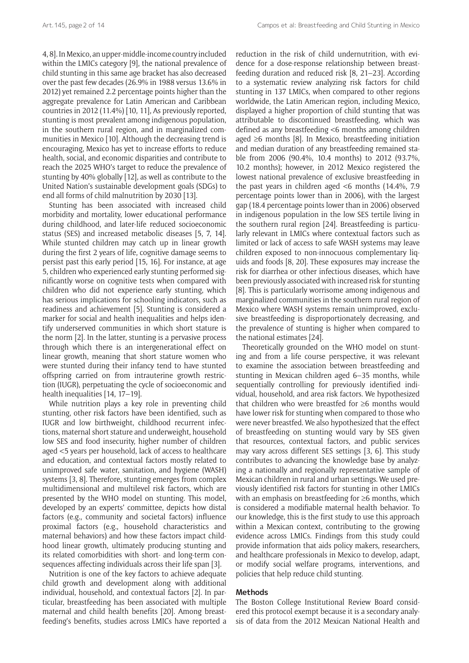4, 8]. In Mexico, an upper-middle-income country included within the LMICs category [9], the national prevalence of child stunting in this same age bracket has also decreased over the past few decades (26.9% in 1988 versus 13.6% in 2012) yet remained 2.2 percentage points higher than the aggregate prevalence for Latin American and Caribbean countries in 2012 (11.4%) [10, 11], As previously reported, stunting is most prevalent among indigenous population, in the southern rural region, and in marginalized communities in Mexico [10]. Although the decreasing trend is encouraging, Mexico has yet to increase efforts to reduce health, social, and economic disparities and contribute to reach the 2025 WHO's target to reduce the prevalence of stunting by 40% globally [12], as well as contribute to the United Nation's sustainable development goals (SDGs) to end all forms of child malnutrition by 2030 [13].

Stunting has been associated with increased child morbidity and mortality, lower educational performance during childhood, and later-life reduced socioeconomic status (SES) and increased metabolic diseases [5, 7, 14]. While stunted children may catch up in linear growth during the first 2 years of life, cognitive damage seems to persist past this early period [15, 16]. For instance, at age 5, children who experienced early stunting performed significantly worse on cognitive tests when compared with children who did not experience early stunting, which has serious implications for schooling indicators, such as readiness and achievement [5]. Stunting is considered a marker for social and health inequalities and helps identify underserved communities in which short stature is the norm [2]. In the latter, stunting is a pervasive process through which there is an intergenerational effect on linear growth, meaning that short stature women who were stunted during their infancy tend to have stunted offspring carried on from intrauterine growth restriction (IUGR), perpetuating the cycle of socioeconomic and health inequalities [14, 17–19].

While nutrition plays a key role in preventing child stunting, other risk factors have been identified, such as IUGR and low birthweight, childhood recurrent infections, maternal short stature and underweight, household low SES and food insecurity, higher number of children aged <5 years per household, lack of access to healthcare and education, and contextual factors mostly related to unimproved safe water, sanitation, and hygiene (WASH) systems [3, 8]. Therefore, stunting emerges from complex multidimensional and multilevel risk factors, which are presented by the WHO model on stunting. This model, developed by an experts' committee, depicts how distal factors (e.g., community and societal factors) influence proximal factors (e.g., household characteristics and maternal behaviors) and how these factors impact childhood linear growth, ultimately producing stunting and its related comorbidities with short- and long-term consequences affecting individuals across their life span [3].

Nutrition is one of the key factors to achieve adequate child growth and development along with additional individual, household, and contextual factors [2]. In particular, breastfeeding has been associated with multiple maternal and child health benefits [20]. Among breastfeeding's benefits, studies across LMICs have reported a

reduction in the risk of child undernutrition, with evidence for a dose-response relationship between breastfeeding duration and reduced risk [8, 21–23]. According to a systematic review analyzing risk factors for child stunting in 137 LMICs, when compared to other regions worldwide, the Latin American region, including Mexico, displayed a higher proportion of child stunting that was attributable to discontinued breastfeeding, which was defined as any breastfeeding <6 months among children aged ≥6 months [8]. In Mexico, breastfeeding initiation and median duration of any breastfeeding remained stable from 2006 (90.4%, 10.4 months) to 2012 (93.7%, 10.2 months); however, in 2012 Mexico registered the lowest national prevalence of exclusive breastfeeding in the past years in children aged <6 months (14.4%, 7.9 percentage points lower than in 2006), with the largest gap (18.4 percentage points lower than in 2006) observed in indigenous population in the low SES tertile living in the southern rural region [24]. Breastfeeding is particularly relevant in LMICs where contextual factors such as limited or lack of access to safe WASH systems may leave children exposed to non-innocuous complementary liquids and foods [8, 20]. These exposures may increase the risk for diarrhea or other infectious diseases, which have been previously associated with increased risk for stunting [8]. This is particularly worrisome among indigenous and marginalized communities in the southern rural region of Mexico where WASH systems remain unimproved, exclusive breastfeeding is disproportionately decreasing, and the prevalence of stunting is higher when compared to the national estimates [24].

Theoretically grounded on the WHO model on stunting and from a life course perspective, it was relevant to examine the association between breastfeeding and stunting in Mexican children aged 6–35 months, while sequentially controlling for previously identified individual, household, and area risk factors. We hypothesized that children who were breastfed for ≥6 months would have lower risk for stunting when compared to those who were never breastfed. We also hypothesized that the effect of breastfeeding on stunting would vary by SES given that resources, contextual factors, and public services may vary across different SES settings [3, 6]. This study contributes to advancing the knowledge base by analyzing a nationally and regionally representative sample of Mexican children in rural and urban settings. We used previously identified risk factors for stunting in other LMICs with an emphasis on breastfeeding for ≥6 months, which is considered a modifiable maternal health behavior. To our knowledge, this is the first study to use this approach within a Mexican context, contributing to the growing evidence across LMICs. Findings from this study could provide information that aids policy makers, researchers, and healthcare professionals in Mexico to develop, adapt, or modify social welfare programs, interventions, and policies that help reduce child stunting.

# **Methods**

The Boston College Institutional Review Board considered this protocol exempt because it is a secondary analysis of data from the 2012 Mexican National Health and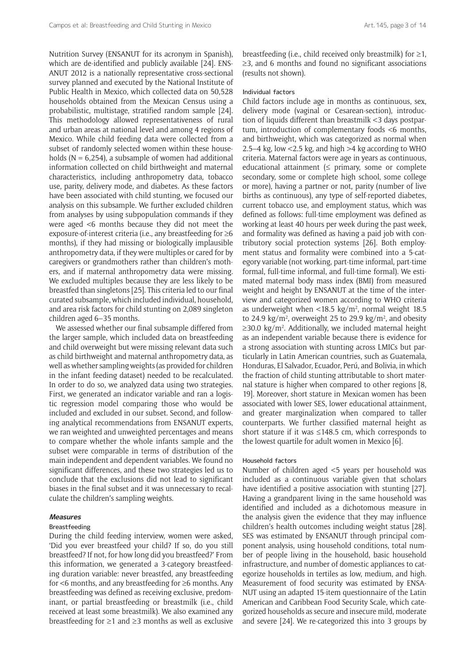Nutrition Survey (ENSANUT for its acronym in Spanish), which are de-identified and publicly available [24]. ENS-ANUT 2012 is a nationally representative cross-sectional survey planned and executed by the National Institute of Public Health in Mexico, which collected data on 50,528 households obtained from the Mexican Census using a probabilistic, multistage, stratified random sample [24]. This methodology allowed representativeness of rural and urban areas at national level and among 4 regions of Mexico. While child feeding data were collected from a subset of randomly selected women within these households ( $N = 6,254$ ), a subsample of women had additional information collected on child birthweight and maternal characteristics, including anthropometry data, tobacco use, parity, delivery mode, and diabetes. As these factors have been associated with child stunting, we focused our analysis on this subsample. We further excluded children from analyses by using subpopulation commands if they were aged <6 months because they did not meet the exposure-of-interest criteria (i.e., any breastfeeding for ≥6 months), if they had missing or biologically implausible anthropometry data, if they were multiples or cared for by caregivers or grandmothers rather than children's mothers, and if maternal anthropometry data were missing. We excluded multiples because they are less likely to be breastfed than singletons [25]. This criteria led to our final curated subsample, which included individual, household, and area risk factors for child stunting on 2,089 singleton children aged 6–35 months.

We assessed whether our final subsample differed from the larger sample, which included data on breastfeeding and child overweight but were missing relevant data such as child birthweight and maternal anthropometry data, as well as whether sampling weights (as provided for children in the infant feeding dataset) needed to be recalculated. In order to do so, we analyzed data using two strategies. First, we generated an indicator variable and ran a logistic regression model comparing those who would be included and excluded in our subset. Second, and following analytical recommendations from ENSANUT experts, we ran weighted and unweighted percentages and means to compare whether the whole infants sample and the subset were comparable in terms of distribution of the main independent and dependent variables. We found no significant differences, and these two strategies led us to conclude that the exclusions did not lead to significant biases in the final subset and it was unnecessary to recalculate the children's sampling weights.

# **Measures**

# Breastfeeding

During the child feeding interview, women were asked, 'Did you ever breastfeed your child? If so, do you still breastfeed? If not, for how long did you breastfeed?' From this information, we generated a 3-category breastfeeding duration variable: never breastfed, any breastfeeding for <6 months, and any breastfeeding for ≥6 months. Any breastfeeding was defined as receiving exclusive, predominant, or partial breastfeeding or breastmilk (i.e., child received at least some breastmilk). We also examined any breastfeeding for ≥1 and ≥3 months as well as exclusive

breastfeeding (i.e., child received only breastmilk) for  $\geq 1$ , ≥3, and 6 months and found no significant associations (results not shown).

## Individual factors

Child factors include age in months as continuous, sex, delivery mode (vaginal or Cesarean-section), introduction of liquids different than breastmilk <3 days postpartum, introduction of complementary foods <6 months, and birthweight, which was categorized as normal when 2.5–4 kg, low <2.5 kg, and high >4 kg according to WHO criteria. Maternal factors were age in years as continuous, educational attainment ( $\leq$  primary, some or complete secondary, some or complete high school, some college or more), having a partner or not, parity (number of live births as continuous), any type of self-reported diabetes, current tobacco use, and employment status, which was defined as follows: full-time employment was defined as working at least 40 hours per week during the past week, and formality was defined as having a paid job with contributory social protection systems [26]. Both employment status and formality were combined into a 5-category variable (not working, part-time informal, part-time formal, full-time informal, and full-time formal). We estimated maternal body mass index (BMI) from measured weight and height by ENSANUT at the time of the interview and categorized women according to WHO criteria as underweight when  $<$ 18.5 kg/m<sup>2</sup>, normal weight 18.5 to 24.9  $\text{kg/m}^2$ , overweight 25 to 29.9  $\text{kg/m}^2$ , and obesity ≥30.0 kg/m2 . Additionally, we included maternal height as an independent variable because there is evidence for a strong association with stunting across LMICs but particularly in Latin American countries, such as Guatemala, Honduras, El Salvador, Ecuador, Perú, and Bolivia, in which the fraction of child stunting attributable to short maternal stature is higher when compared to other regions [8, 19]. Moreover, short stature in Mexican women has been associated with lower SES, lower educational attainment, and greater marginalization when compared to taller counterparts. We further classified maternal height as short stature if it was ≤148.5 cm, which corresponds to the lowest quartile for adult women in Mexico [6].

#### Household factors

Number of children aged <5 years per household was included as a continuous variable given that scholars have identified a positive association with stunting [27]. Having a grandparent living in the same household was identified and included as a dichotomous measure in the analysis given the evidence that they may influence children's health outcomes including weight status [28]. SES was estimated by ENSANUT through principal component analysis, using household conditions, total number of people living in the household, basic household infrastructure, and number of domestic appliances to categorize households in tertiles as low, medium, and high. Measurement of food security was estimated by ENSA-NUT using an adapted 15-item questionnaire of the Latin American and Caribbean Food Security Scale, which categorized households as secure and insecure mild, moderate and severe [24]. We re-categorized this into 3 groups by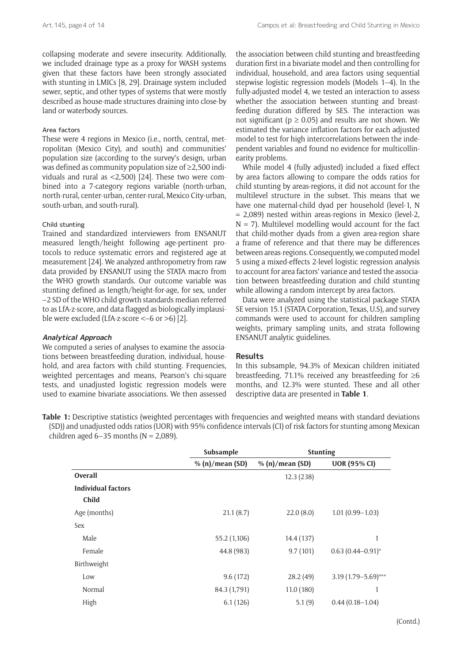collapsing moderate and severe insecurity. Additionally, we included drainage type as a proxy for WASH systems given that these factors have been strongly associated with stunting in LMICs [8, 29]. Drainage system included sewer, septic, and other types of systems that were mostly described as house-made structures draining into close-by land or waterbody sources.

#### Area factors

These were 4 regions in Mexico (i.e., north, central, metropolitan (Mexico City), and south) and communities' population size (according to the survey's design, urban was defined as community population size of ≥2,500 individuals and rural as <2,500) [24]. These two were combined into a 7-category regions variable (north-urban, north-rural, center-urban, center-rural, Mexico City-urban, south-urban, and south-rural).

# Child stunting

Trained and standardized interviewers from ENSANUT measured length/height following age-pertinent protocols to reduce systematic errors and registered age at measurement [24]. We analyzed anthropometry from raw data provided by ENSANUT using the STATA macro from the WHO growth standards. Our outcome variable was stunting defined as length/height-for-age, for sex, under –2 SD of the WHO child growth standards median referred to as LfA-z-score, and data flagged as biologically implausible were excluded (LfA-z-score <–6 or >6) [2].

# **Analytical Approach**

We computed a series of analyses to examine the associations between breastfeeding duration, individual, household, and area factors with child stunting. Frequencies, weighted percentages and means, Pearson's chi-square tests, and unadjusted logistic regression models were used to examine bivariate associations. We then assessed

the association between child stunting and breastfeeding duration first in a bivariate model and then controlling for individual, household, and area factors using sequential stepwise logistic regression models (Models 1–4). In the fully-adjusted model 4, we tested an interaction to assess whether the association between stunting and breastfeeding duration differed by SES. The interaction was not significant ( $p \ge 0.05$ ) and results are not shown. We estimated the variance inflation factors for each adjusted model to test for high intercorrelations between the independent variables and found no evidence for multicollinearity problems.

While model 4 (fully adjusted) included a fixed effect by area factors allowing to compare the odds ratios for child stunting by areas-regions, it did not account for the multilevel structure in the subset. This means that we have one maternal-child dyad per household (level-1, N = 2,089) nested within areas-regions in Mexico (level-2,  $N = 7$ ). Multilevel modelling would account for the fact that child-mother dyads from a given area-region share a frame of reference and that there may be differences between areas-regions. Consequently, we computed model 5 using a mixed-effects 2-level logistic regression analysis to account for area factors' variance and tested the association between breastfeeding duration and child stunting while allowing a random intercept by area factors.

Data were analyzed using the statistical package STATA SE version 15.1 (STATA Corporation, Texas, U.S), and survey commands were used to account for children sampling weights, primary sampling units, and strata following ENSANUT analytic guidelines.

# **Results**

In this subsample, 94.3% of Mexican children initiated breastfeeding, 71.1% received any breastfeeding for  $\geq 6$ months, and 12.3% were stunted. These and all other descriptive data are presented in **Table 1**.

**Table 1:** Descriptive statistics (weighted percentages with frequencies and weighted means with standard deviations (SD)) and unadjusted odds ratios (UOR) with 95% confidence intervals (CI) of risk factors for stunting among Mexican children aged  $6-35$  months (N = 2,089).

|                           | Subsample       | <b>Stunting</b> |                         |
|---------------------------|-----------------|-----------------|-------------------------|
|                           | % (n)/mean (SD) | % (n)/mean (SD) | <b>UOR (95% CI)</b>     |
| Overall                   |                 | 12.3(238)       |                         |
| <b>Individual factors</b> |                 |                 |                         |
| Child                     |                 |                 |                         |
| Age (months)              | 21.1(8.7)       | 22.0(8.0)       | $1.01(0.99 - 1.03)$     |
| Sex                       |                 |                 |                         |
| Male                      | 55.2 (1,106)    | 14.4 (137)      | 1                       |
| Female                    | 44.8 (983)      | 9.7(101)        | $0.63(0.44 - 0.91)^{*}$ |
| Birthweight               |                 |                 |                         |
| Low                       | 9.6(172)        | 28.2(49)        | 3.19 (1.79-5.69)***     |
| Normal                    | 84.3 (1,791)    | 11.0(180)       | 1                       |
| High                      | 6.1(126)        | 5.1(9)          | $0.44(0.18-1.04)$       |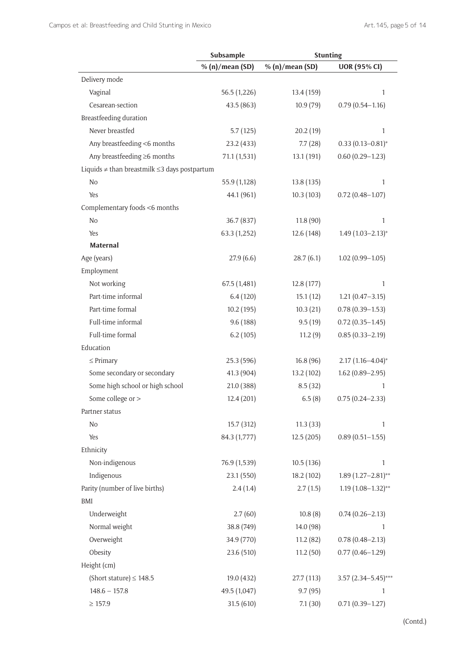|                                                         | Subsample       | <b>Stunting</b> |                         |
|---------------------------------------------------------|-----------------|-----------------|-------------------------|
|                                                         | % (n)/mean (SD) | % (n)/mean (SD) | <b>UOR (95% CI)</b>     |
| Delivery mode                                           |                 |                 |                         |
| Vaginal                                                 | 56.5 (1,226)    | 13.4 (159)      | 1                       |
| Cesarean-section                                        | 43.5 (863)      | 10.9(79)        | $0.79(0.54 - 1.16)$     |
| Breastfeeding duration                                  |                 |                 |                         |
| Never breastfed                                         | 5.7(125)        | 20.2(19)        | $\mathbf{1}$            |
| Any breastfeeding <6 months                             | 23.2(433)       | 7.7(28)         | $0.33(0.13 - 0.81)^{*}$ |
| Any breastfeeding ≥6 months                             | 71.1 (1,531)    | 13.1 (191)      | $0.60(0.29 - 1.23)$     |
| Liquids $\neq$ than breastmilk $\leq$ 3 days postpartum |                 |                 |                         |
| No.                                                     | 55.9 (1,128)    | 13.8(135)       | 1                       |
| Yes                                                     | 44.1 (961)      | 10.3(103)       | $0.72(0.48 - 1.07)$     |
| Complementary foods <6 months                           |                 |                 |                         |
| No.                                                     | 36.7 (837)      | 11.8(90)        | $\mathbf{1}$            |
| <b>Yes</b>                                              | 63.3 (1,252)    | 12.6(148)       | $1.49(1.03 - 2.13)*$    |
| <b>Maternal</b>                                         |                 |                 |                         |
| Age (years)                                             | 27.9(6.6)       | 28.7(6.1)       | $1.02(0.99 - 1.05)$     |
| Employment                                              |                 |                 |                         |
| Not working                                             | 67.5(1,481)     | 12.8(177)       | 1                       |
| Part-time informal                                      | 6.4(120)        | 15.1(12)        | $1.21(0.47 - 3.15)$     |
| Part-time formal                                        | 10.2(195)       | 10.3(21)        | $0.78(0.39 - 1.53)$     |
| Full-time informal                                      | 9.6(188)        | 9.5(19)         | $0.72(0.35 - 1.45)$     |
| Full-time formal                                        | 6.2(105)        | 11.2(9)         | $0.85(0.33 - 2.19)$     |
| Education                                               |                 |                 |                         |
| $\leq$ Primary                                          | 25.3(596)       | 16.8(96)        | $2.17(1.16 - 4.04)^{*}$ |
| Some secondary or secondary                             | 41.3 (904)      | 13.2 (102)      | $1.62(0.89 - 2.95)$     |
| Some high school or high school                         | 21.0 (388)      | 8.5(32)         | $\mathbf{1}$            |
| Some college or >                                       | 12.4(201)       | 6.5(8)          | $0.75(0.24 - 2.33)$     |
| Partner status                                          |                 |                 |                         |
| No                                                      | 15.7(312)       | 11.3(33)        | $\mathbf{1}$            |
| Yes                                                     | 84.3 (1,777)    | 12.5(205)       | $0.89(0.51 - 1.55)$     |
| Ethnicity                                               |                 |                 |                         |
| Non-indigenous                                          | 76.9 (1,539)    | 10.5(136)       | $\mathbf{1}$            |
| Indigenous                                              | 23.1(550)       | 18.2(102)       | $1.89(1.27-2.81)$ **    |
| Parity (number of live births)                          | 2.4(1.4)        | 2.7(1.5)        | $1.19(1.08-1.32)$ **    |
| BMI                                                     |                 |                 |                         |
| Underweight                                             | 2.7(60)         | 10.8(8)         | $0.74(0.26 - 2.13)$     |
| Normal weight                                           | 38.8 (749)      | 14.0 (98)       | 1                       |
| Overweight                                              | 34.9 (770)      | 11.2(82)        | $0.78(0.48 - 2.13)$     |
| Obesity                                                 | 23.6 (510)      | 11.2(50)        | $0.77(0.46 - 1.29)$     |
| Height (cm)                                             |                 |                 |                         |
| (Short stature) $\leq 148.5$                            | 19.0 (432)      | 27.7 (113)      | $3.57$ (2.34-5.45)***   |
| $148.6 - 157.8$                                         | 49.5 (1,047)    | 9.7(95)         | 1                       |
| $\geq$ 157.9                                            | 31.5(610)       | 7.1(30)         | $0.71(0.39 - 1.27)$     |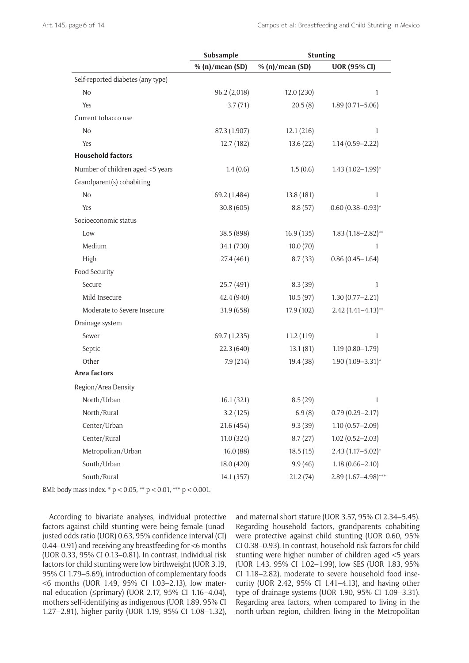|                                   | Subsample       | <b>Stunting</b> |                         |
|-----------------------------------|-----------------|-----------------|-------------------------|
|                                   | % (n)/mean (SD) | % (n)/mean (SD) | <b>UOR (95% CI)</b>     |
| Self-reported diabetes (any type) |                 |                 |                         |
| No                                | 96.2 (2,018)    | 12.0(230)       | 1                       |
| Yes                               | 3.7(71)         | 20.5(8)         | $1.89(0.71 - 5.06)$     |
| Current tobacco use               |                 |                 |                         |
| N <sub>o</sub>                    | 87.3 (1,907)    | 12.1(216)       | 1                       |
| Yes                               | 12.7(182)       | 13.6(22)        | $1.14(0.59 - 2.22)$     |
| <b>Household factors</b>          |                 |                 |                         |
| Number of children aged <5 years  | 1.4(0.6)        | 1.5(0.6)        | $1.43(1.02-1.99)*$      |
| Grandparent(s) cohabiting         |                 |                 |                         |
| No                                | 69.2 (1,484)    | 13.8(181)       | 1                       |
| Yes                               | 30.8(605)       | 8.8(57)         | $0.60(0.38 - 0.93)*$    |
| Socioeconomic status              |                 |                 |                         |
| Low                               | 38.5 (898)      | 16.9(135)       | $1.83(1.18 - 2.82)$ **  |
| Medium                            | 34.1 (730)      | 10.0(70)        | 1                       |
| High                              | 27.4 (461)      | 8.7(33)         | $0.86(0.45 - 1.64)$     |
| Food Security                     |                 |                 |                         |
| Secure                            | 25.7 (491)      | 8.3(39)         | 1                       |
| Mild Insecure                     | 42.4 (940)      | 10.5(97)        | $1.30(0.77 - 2.21)$     |
| Moderate to Severe Insecure       | 31.9(658)       | 17.9 (102)      | $2.42(1.41 - 4.13)$ **  |
| Drainage system                   |                 |                 |                         |
| Sewer                             | 69.7 (1,235)    | 11.2(119)       | 1                       |
| Septic                            | 22.3(640)       | 13.1(81)        | $1.19(0.80 - 1.79)$     |
| Other                             | 7.9(214)        | 19.4 (38)       | $1.90(1.09 - 3.31)^{*}$ |
| Area factors                      |                 |                 |                         |
| Region/Area Density               |                 |                 |                         |
| North/Urban                       | 16.1(321)       | 8.5(29)         | 1                       |
| North/Rural                       | 3.2(125)        | 6.9(8)          | $0.79(0.29 - 2.17)$     |
| Center/Urban                      | 21.6 (454)      | 9.3(39)         | $1.10(0.57 - 2.09)$     |
| Center/Rural                      | 11.0(324)       | 8.7(27)         | $1.02(0.52 - 2.03)$     |
| Metropolitan/Urban                | 16.0(88)        | 18.5(15)        | $2.43(1.17 - 5.02)^{*}$ |
| South/Urban                       | 18.0 (420)      | 9.9(46)         | $1.18(0.66 - 2.10)$     |
| South/Rural                       | 14.1 (357)      | 21.2(74)        | $2.89(1.67 - 4.98)$ *** |

BMI: body mass index. \* p < 0.05, \*\* p < 0.01, \*\*\* p < 0.001.

According to bivariate analyses, individual protective factors against child stunting were being female (unadjusted odds ratio (UOR) 0.63, 95% confidence interval (CI) 0.44–0.91) and receiving any breastfeeding for <6 months (UOR 0.33, 95% CI 0.13–0.81). In contrast, individual risk factors for child stunting were low birthweight (UOR 3.19, 95% CI 1.79–5.69), introduction of complementary foods <6 months (UOR 1.49, 95% CI 1.03–2.13), low maternal education (≤primary) (UOR 2.17, 95% CI 1.16–4.04), mothers self-identifying as indigenous (UOR 1.89, 95% CI 1.27–2.81), higher parity (UOR 1.19, 95% CI 1.08–1.32), and maternal short stature (UOR 3.57, 95% CI 2.34–5.45). Regarding household factors, grandparents cohabiting were protective against child stunting (UOR 0.60, 95% CI 0.38–0.93). In contrast, household risk factors for child stunting were higher number of children aged <5 years (UOR 1.43, 95% CI 1.02–1.99), low SES (UOR 1.83, 95% CI 1.18–2.82), moderate to severe household food insecurity (UOR 2.42, 95% CI 1.41–4.13), and having other type of drainage systems (UOR 1.90, 95% CI 1.09–3.31). Regarding area factors, when compared to living in the north-urban region, children living in the Metropolitan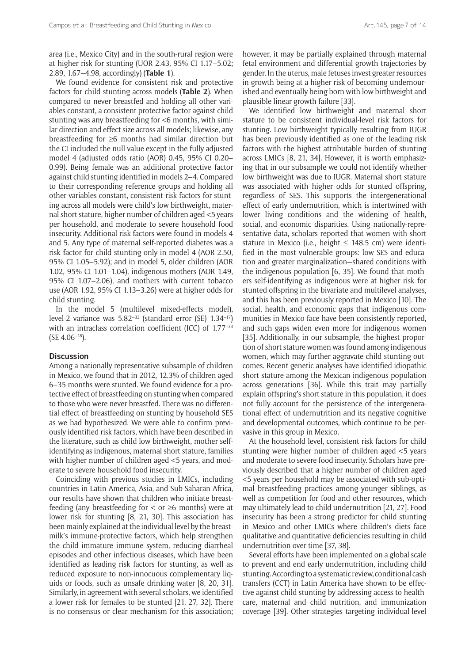area (i.e., Mexico City) and in the south-rural region were at higher risk for stunting (UOR 2.43, 95% CI 1.17–5.02; 2.89, 1.67–4.98, accordingly) (**Table 1**).

We found evidence for consistent risk and protective factors for child stunting across models (**Table 2**). When compared to never breastfed and holding all other variables constant, a consistent protective factor against child stunting was any breastfeeding for <6 months, with similar direction and effect size across all models; likewise, any breastfeeding for ≥6 months had similar direction but the CI included the null value except in the fully adjusted model 4 (adjusted odds ratio (AOR) 0.45, 95% CI 0.20– 0.99). Being female was an additional protective factor against child stunting identified in models 2–4. Compared to their corresponding reference groups and holding all other variables constant, consistent risk factors for stunting across all models were child's low birthweight, maternal short stature, higher number of children aged <5 years per household, and moderate to severe household food insecurity. Additional risk factors were found in models 4 and 5. Any type of maternal self-reported diabetes was a risk factor for child stunting only in model 4 (AOR 2.50, 95% CI 1.05–5.92); and in model 5, older children (AOR 1.02, 95% CI 1.01–1.04), indigenous mothers (AOR 1.49, 95% CI 1.07–2.06), and mothers with current tobacco use (AOR 1.92, 95% CI 1.13–3.26) were at higher odds for child stunting.

In the model 5 (multilevel mixed-effects model), level-2 variance was 5.82–33 (standard error (SE) 1.34–17) with an intraclass correlation coefficient (ICC) of 1.77<sup>-33</sup> (SE 4.06–18).

# **Discussion**

Among a nationally representative subsample of children in Mexico, we found that in 2012, 12.3% of children aged 6–35 months were stunted. We found evidence for a protective effect of breastfeeding on stunting when compared to those who were never breastfed. There was no differential effect of breastfeeding on stunting by household SES as we had hypothesized. We were able to confirm previously identified risk factors, which have been described in the literature, such as child low birthweight, mother selfidentifying as indigenous, maternal short stature, families with higher number of children aged <5 years, and moderate to severe household food insecurity.

Coinciding with previous studies in LMICs, including countries in Latin America, Asia, and Sub-Saharan Africa, our results have shown that children who initiate breastfeeding (any breastfeeding for  $\lt$  or  $\geq$ 6 months) were at lower risk for stunting [8, 21, 30]. This association has been mainly explained at the individual level by the breastmilk's immune-protective factors, which help strengthen the child immature immune system, reducing diarrheal episodes and other infectious diseases, which have been identified as leading risk factors for stunting, as well as reduced exposure to non-innocuous complementary liquids or foods, such as unsafe drinking water [8, 20, 31]. Similarly, in agreement with several scholars, we identified a lower risk for females to be stunted [21, 27, 32]. There is no consensus or clear mechanism for this association;

however, it may be partially explained through maternal fetal environment and differential growth trajectories by gender. In the uterus*,* male fetuses invest greater resources in growth being at a higher risk of becoming undernourished and eventually being born with low birthweight and plausible linear growth failure [33].

We identified low birthweight and maternal short stature to be consistent individual-level risk factors for stunting. Low birthweight typically resulting from IUGR has been previously identified as one of the leading risk factors with the highest attributable burden of stunting across LMICs [8, 21, 34]. However, it is worth emphasizing that in our subsample we could not identify whether low birthweight was due to IUGR. Maternal short stature was associated with higher odds for stunted offspring, regardless of SES. This supports the intergenerational effect of early undernutrition, which is intertwined with lower living conditions and the widening of health, social, and economic disparities. Using nationally-representative data, scholars reported that women with short stature in Mexico (i.e., height  $\leq$  148.5 cm) were identified in the most vulnerable groups: low SES and education and greater marginalization—shared conditions with the indigenous population [6, 35]. We found that mothers self-identifying as indigenous were at higher risk for stunted offspring in the bivariate and multilevel analyses, and this has been previously reported in Mexico [10]. The social, health, and economic gaps that indigenous communities in Mexico face have been consistently reported, and such gaps widen even more for indigenous women [35]. Additionally, in our subsample, the highest proportion of short stature women was found among indigenous women, which may further aggravate child stunting outcomes. Recent genetic analyses have identified idiopathic short stature among the Mexican indigenous population across generations [36]. While this trait may partially explain offspring's short stature in this population, it does not fully account for the persistence of the intergenerational effect of undernutrition and its negative cognitive and developmental outcomes, which continue to be pervasive in this group in Mexico.

At the household level, consistent risk factors for child stunting were higher number of children aged <5 years and moderate to severe food insecurity. Scholars have previously described that a higher number of children aged <5 years per household may be associated with sub-optimal breastfeeding practices among younger siblings, as well as competition for food and other resources, which may ultimately lead to child undernutrition [21, 27]. Food insecurity has been a strong predictor for child stunting in Mexico and other LMICs where children's diets face qualitative and quantitative deficiencies resulting in child undernutrition over time [37, 38].

Several efforts have been implemented on a global scale to prevent and end early undernutrition, including child stunting. According to a systematic review, conditional cash transfers (CCT) in Latin America have shown to be effective against child stunting by addressing access to healthcare, maternal and child nutrition, and immunization coverage [39]. Other strategies targeting individual-level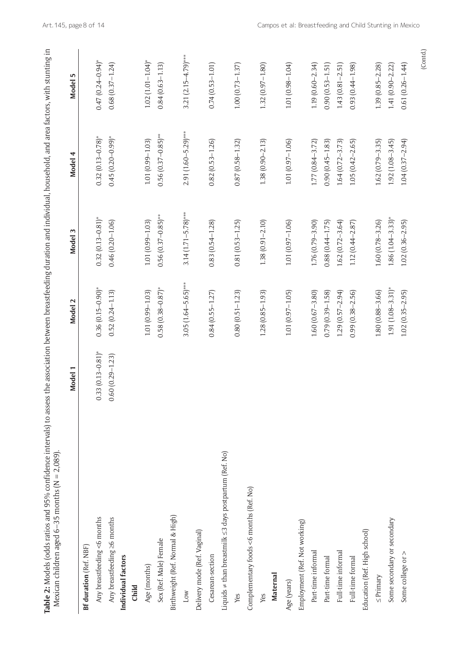| Table 2: Models (odds ratios and 95% confidence intervals) to assess the association between breastfeeding duration and individual, household, and area factors, with stunting in<br>Mexican children aged 6–35 months ( $N = 2,089$ ). |                         |                         |                         |                         |                          |
|-----------------------------------------------------------------------------------------------------------------------------------------------------------------------------------------------------------------------------------------|-------------------------|-------------------------|-------------------------|-------------------------|--------------------------|
|                                                                                                                                                                                                                                         | Model 1                 | Model 2                 | Model 3                 | Model 4                 | Model 5                  |
| <b>Bf duration</b> (Ref. NBF)                                                                                                                                                                                                           |                         |                         |                         |                         |                          |
| Any breastfeeding <6 months                                                                                                                                                                                                             | $0.33(0.13 - 0.81)^{*}$ | $0.36(0.15-0.90)$ *     | $0.32(0.13 - 0.81)$ *   | $0.32(0.13 - 0.78)$ *   | $0.47(0.24 - 0.94)^*$    |
| Any breastfeeding ≥6 months                                                                                                                                                                                                             | $0.60(0.29 - 1.23)$     | $0.52(0.24 - 1.13)$     | $0.46(0.20 - 1.06)$     | $0.45(0.20-0.99)^*$     | $0.68(0.37 - 1.24)$      |
| Individual factors                                                                                                                                                                                                                      |                         |                         |                         |                         |                          |
| Child                                                                                                                                                                                                                                   |                         |                         |                         |                         |                          |
| Age (months)                                                                                                                                                                                                                            |                         | $1.01(0.99 - 1.03)$     | $1.01(0.99 - 1.03)$     | $1.01(0.99 - 1.03)$     | $1.02(1.01 - 1.04)^{*}$  |
| Sex (Ref. Male) Female                                                                                                                                                                                                                  |                         | $0.58(0.38 - 0.87)$ *   | $0.56(0.37-0.85)$ **    | $0.56(0.37 - 0.85)$ **  | $0.84(0.63 - 1.13)$      |
| Birthweight (Ref. Normal & High)                                                                                                                                                                                                        |                         |                         |                         |                         |                          |
| Low                                                                                                                                                                                                                                     |                         | $3.05(1.64 - 5.65)$ *** | $3.14(1.71 - 5.78)$ *** | $2.91(1.60 - 5.29)$ *** | 3.21 $(2.15 - 4.79)$ *** |
| Delivery mode (Ref. Vaginal)                                                                                                                                                                                                            |                         |                         |                         |                         |                          |
| Cesarean-section                                                                                                                                                                                                                        |                         | $0.84(0.55 - 1.27)$     | $0.83(0.54 - 1.28)$     | $0.82(0.53 - 1.26)$     | $0.74(0.53 - 1.01)$      |
| Liquids ≠ than breastmilk ≤3 days postpartum (Ref. No)                                                                                                                                                                                  |                         |                         |                         |                         |                          |
| Yes                                                                                                                                                                                                                                     |                         | $0.80(0.51 - 1.23)$     | $0.81(0.53 - 1.25)$     | $0.87(0.58 - 1.32)$     | $1.00(0.73 - 1.37)$      |
| Complementary foods <6 months (Ref. No)                                                                                                                                                                                                 |                         |                         |                         |                         |                          |
| Yes                                                                                                                                                                                                                                     |                         | $1.28(0.85 - 1.93)$     | $1.38(0.91 - 2.10)$     | $1.38(0.90 - 2.13)$     | $1.32(0.97 - 1.80)$      |
| Maternal                                                                                                                                                                                                                                |                         |                         |                         |                         |                          |
| Age (years)                                                                                                                                                                                                                             |                         | $1.01(0.97 - 1.05)$     | $1.01(0.97 - 1.06)$     | $1.01(0.97 - 1.06)$     | $1.01(0.98 - 1.04)$      |
| Employment (Ref. Not working)                                                                                                                                                                                                           |                         |                         |                         |                         |                          |
| Part-time informal                                                                                                                                                                                                                      |                         | $1.60(0.67 - 3.80)$     | $1.76(0.79 - 3.90)$     | $1.77(0.84 - 3.72)$     | $1.19(0.60 - 2.34)$      |
| Part-time formal                                                                                                                                                                                                                        |                         | $0.79(0.39 - 1.58)$     | $0.88(0.44 - 1.75)$     | $0.90(0.45 - 1.83)$     | $0.90(0.53 - 1.51)$      |
| Full-time informal                                                                                                                                                                                                                      |                         | $1.29(0.57 - 2.94)$     | $1.62(0.72 - 3.64)$     | $1.64(0.72 - 3.73)$     | $1.43(0.81 - 2.51)$      |
| Full-time formal                                                                                                                                                                                                                        |                         | $0.99(0.38 - 2.56)$     | $1.12(0.44 - 2.87)$     | $1.05(0.42 - 2.65)$     | $0.93(0.44 - 1.98)$      |
| Education (Ref. High school)                                                                                                                                                                                                            |                         |                         |                         |                         |                          |
| $\leq$ Primary                                                                                                                                                                                                                          |                         | $1.80(0.88 - 3.66)$     | $1.60(0.78 - 3.26)$     | $1.62(0.79 - 3.35)$     | $1.39(0.85 - 2.28)$      |
| Some secondary or secondary                                                                                                                                                                                                             |                         | $1.91(1.08 - 3.31)^{*}$ | $1.86(1.04 - 3.33)^{*}$ | $1.92(1.08 - 3.45)$     | $1.41(0.90 - 2.22)$      |
| Some college or >                                                                                                                                                                                                                       |                         | $1.02(0.35 - 2.95)$     | $1.02(0.36 - 2.95)$     | $1.04(0.37 - 2.94)$     | $0.61(0.26 - 1.44)$      |

(Contd.)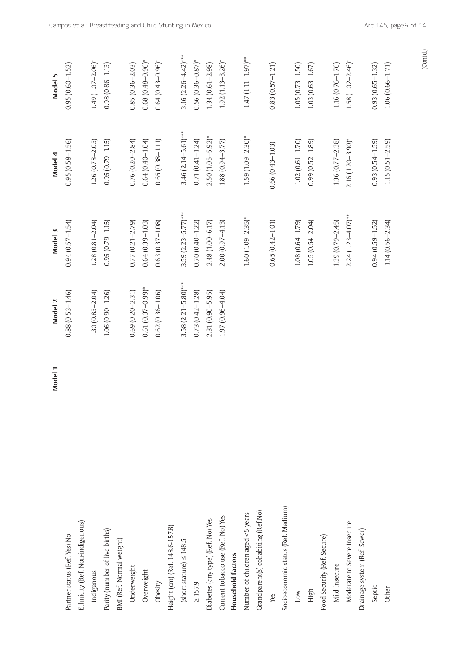|                                    | Model 1 | Model 2                 | Model 3                 | Model 4                 | Model 5                  |
|------------------------------------|---------|-------------------------|-------------------------|-------------------------|--------------------------|
| Partner status (Ref. Yes) No       |         | $0.88(0.53 - 1.46)$     | $0.94(0.57 - 1.54)$     | $0.95(0.58 - 1.56)$     | $0.95(0.60 - 1.52)$      |
| Ethnicity (Ref. Non-indigenous)    |         |                         |                         |                         |                          |
| Indigenous                         |         | $1.30(0.83 - 2.04)$     | $1.28(0.81 - 2.04)$     | $1.26(0.78 - 2.03)$     | $1.49(1.07 - 2.06)^{*}$  |
| Parity (number of live births)     |         | $1.06(0.90 - 1.26)$     | $0.95(0.79 - 1.15)$     | $0.95(0.79 - 1.15)$     | $0.98(0.86 - 1.13)$      |
| BMI (Ref. Normal weight)           |         |                         |                         |                         |                          |
| Underweight                        |         | $0.69(0.20 - 2.31)$     | $0.77(0.21 - 2.79)$     | $0.76(0.20 - 2.84)$     | $0.85(0.36 - 2.03)$      |
| Overweight                         |         | $0.61(0.37-0.99)^{*}$   | $0.64(0.39 - 1.03)$     | $0.64(0.40 - 1.04)$     | $0.68(0.48 - 0.96)^*$    |
| Obesity                            |         | $0.62(0.36 - 1.06)$     | $0.63(0.37 - 1.08)$     | $0.65(0.38 - 1.11)$     | $0.64(0.43 - 0.96)^*$    |
| Height (cm) (Ref. 148.6-157.8)     |         |                         |                         |                         |                          |
| (short stature) $\leq$ 148.5       |         | $3.58(2.21 - 5.80)$ *** | $3.59(2.23 - 5.77)$ *** | $3.46(2.14 - 5.61)$ *** | 3.16 $(2.26 - 4.42)$ *** |
| $\geq 157.9$                       |         | $0.73(0.42 - 1.28)$     | $0.70(0.40 - 1.22)$     | $0.71(0.41 - 1.24)$     | $0.56(0.36 - 0.87)$ *    |
| Diabetes (any type) (Ref. No) Yes  |         | $2.31(0.90 - 5.95)$     | 2.48 (1.00-6.17)        | $2.50(1.05 - 5.92)^{*}$ | $1.34(0.61 - 2.98)$      |
| Current tobacco use (Ref. No) Yes  |         | $1.97(0.96 - 4.04)$     | $2.00(0.97 - 4.13)$     | $1.88(0.94 - 3.77)$     | $1.92(1.13 - 3.26)$ *    |
| <b>Household factors</b>           |         |                         |                         |                         |                          |
| Number of children aged <5 years   |         |                         | $1.60(1.09 - 2.35)^{*}$ | $1.59(1.09 - 2.30)$ *   | $1.47(1.11 - 1.97)$ **   |
| Grandparent(s) cohabiting (Ref.No) |         |                         |                         |                         |                          |
| Yes                                |         |                         | $0.65(0.42 - 1.01)$     | $0.66(0.43 - 1.03)$     | $0.83(0.57 - 1.21)$      |
| Socioeconomic status (Ref. Medium) |         |                         |                         |                         |                          |
| Low                                |         |                         | $1.08(0.64 - 1.79)$     | $1.02(0.61 - 1.70)$     | $1.05(0.73 - 1.50)$      |
| High                               |         |                         | $1.05(0.54 - 2.04)$     | $0.99(0.52 - 1.89)$     | $1.03(0.63 - 1.67)$      |
| Food Security (Ref. Secure)        |         |                         |                         |                         |                          |
| Mild Insecure                      |         |                         | $1.39(0.79 - 2.45)$     | $1.36(0.77 - 2.38)$     | $1.16(0.76 - 1.76)$      |
| Moderate to Severe Insecure        |         |                         | $2.24(1.23 - 4.07)$ **  | $2.16(1.20 - 3.90)^{*}$ | $1.58(1.02 - 2.46)^{*}$  |
| Drainage system (Ref. Sewer)       |         |                         |                         |                         |                          |
| Septic                             |         |                         | $0.94(0.59 - 1.52)$     | $0.93(0.54 - 1.59)$     | $0.93(0.65 - 1.32)$      |
| Other                              |         |                         | $1.14(0.56 - 2.34)$     | $1.15(0.51 - 2.59)$     | $1.06(0.66 - 1.71)$      |

(Contd.)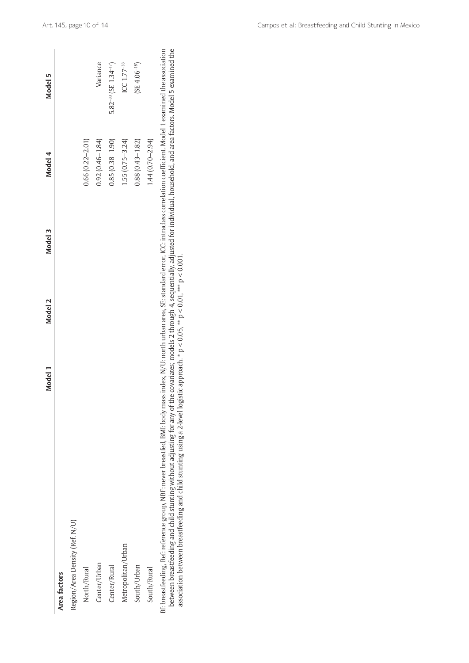|                                                                                                                                                                                                                                                                                                                                                                                                                                                                                                                                                    | Model 1 | Model 2 | Model 3 | Model 4             | Model 5                                |
|----------------------------------------------------------------------------------------------------------------------------------------------------------------------------------------------------------------------------------------------------------------------------------------------------------------------------------------------------------------------------------------------------------------------------------------------------------------------------------------------------------------------------------------------------|---------|---------|---------|---------------------|----------------------------------------|
| Area factors                                                                                                                                                                                                                                                                                                                                                                                                                                                                                                                                       |         |         |         |                     |                                        |
| Region/Area Density (Ref. N/U)                                                                                                                                                                                                                                                                                                                                                                                                                                                                                                                     |         |         |         |                     |                                        |
| North/Rural                                                                                                                                                                                                                                                                                                                                                                                                                                                                                                                                        |         |         |         | $0.66(0.22 - 2.01)$ |                                        |
| Center/Urban                                                                                                                                                                                                                                                                                                                                                                                                                                                                                                                                       |         |         |         | $0.92(0.46 - 1.84)$ | Variance                               |
| Center/Rural                                                                                                                                                                                                                                                                                                                                                                                                                                                                                                                                       |         |         |         | $0.85(0.38 - 1.90)$ | $5.82^{-33}$ (SE 1.34 <sup>-17</sup> ) |
| Metropolitan/Urban                                                                                                                                                                                                                                                                                                                                                                                                                                                                                                                                 |         |         |         | $1.55(0.75 - 3.24)$ | ICC $1.77 - 33$                        |
| South/Urban                                                                                                                                                                                                                                                                                                                                                                                                                                                                                                                                        |         |         |         | $0.88(0.43 - 1.82)$ | $(SE 4.06-18)$                         |
| South/Rural                                                                                                                                                                                                                                                                                                                                                                                                                                                                                                                                        |         |         |         | $1.44(0.70 - 2.94)$ |                                        |
| between breastfeeding and child stunting without adjusting for any of the covariates; models 2 through 4, sequentially, adjusted for individual, household, and area factors. Model 5 examined the<br>Bf: breastfeeding, Ref: reference group, NBF: never breastfed, BMI: body mass index, N/U: north urban area, SE: standard error, ICC: intraclass correlation coefficient. Model 1 examined the association<br>association between breastfeeding and child stunting using a 2-level logistic approach. * p < 0.05, ** p < 0.01, *** p < 0.001. |         |         |         |                     |                                        |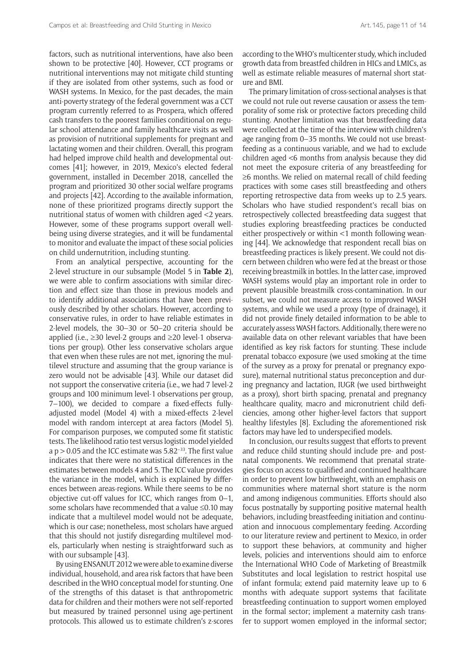factors, such as nutritional interventions, have also been shown to be protective [40]. However, CCT programs or nutritional interventions may not mitigate child stunting if they are isolated from other systems, such as food or WASH systems. In Mexico, for the past decades, the main anti-poverty strategy of the federal government was a CCT program currently referred to as Prospera, which offered cash transfers to the poorest families conditional on regular school attendance and family healthcare visits as well as provision of nutritional supplements for pregnant and lactating women and their children. Overall, this program had helped improve child health and developmental outcomes [41]; however, in 2019, Mexico's elected federal government, installed in December 2018, cancelled the program and prioritized 30 other social welfare programs and projects [42]. According to the available information, none of these prioritized programs directly support the nutritional status of women with children aged <2 years. However, some of these programs support overall wellbeing using diverse strategies, and it will be fundamental to monitor and evaluate the impact of these social policies on child undernutrition, including stunting.

From an analytical perspective, accounting for the 2-level structure in our subsample (Model 5 in **Table 2**), we were able to confirm associations with similar direction and effect size than those in previous models and to identify additional associations that have been previously described by other scholars. However, according to conservative rules, in order to have reliable estimates in 2-level models, the 30–30 or 50–20 criteria should be applied (i.e., ≥30 level-2 groups and ≥20 level-1 observations per group). Other less conservative scholars argue that even when these rules are not met, ignoring the multilevel structure and assuming that the group variance is zero would not be advisable [43]. While our dataset did not support the conservative criteria (i.e., we had 7 level-2 groups and 100 minimum level-1 observations per group, 7–100), we decided to compare a fixed-effects fullyadjusted model (Model 4) with a mixed-effects 2-level model with random intercept at area factors (Model 5). For comparison purposes, we computed some fit statistic tests. The likelihood ratio test versus logistic model yielded a  $p > 0.05$  and the ICC estimate was 5.82<sup>-33</sup>. The first value indicates that there were no statistical differences in the estimates between models 4 and 5. The ICC value provides the variance in the model, which is explained by differences between areas-regions. While there seems to be no objective cut-off values for ICC, which ranges from 0–1, some scholars have recommended that a value ≤0.10 may indicate that a multilevel model would not be adequate, which is our case; nonetheless, most scholars have argued that this should not justify disregarding multilevel models, particularly when nesting is straightforward such as with our subsample [43].

By using ENSANUT 2012 we were able to examine diverse individual, household, and area risk factors that have been described in the WHO conceptual model for stunting. One of the strengths of this dataset is that anthropometric data for children and their mothers were not self-reported but measured by trained personnel using age-pertinent protocols. This allowed us to estimate children's z-scores according to the WHO's multicenter study, which included growth data from breastfed children in HICs and LMICs, as well as estimate reliable measures of maternal short stature and BMI.

The primary limitation of cross-sectional analyses is that we could not rule out reverse causation or assess the temporality of some risk or protective factors preceding child stunting. Another limitation was that breastfeeding data were collected at the time of the interview with children's age ranging from 0–35 months. We could not use breastfeeding as a continuous variable, and we had to exclude children aged <6 months from analysis because they did not meet the exposure criteria of any breastfeeding for ≥6 months. We relied on maternal recall of child feeding practices with some cases still breastfeeding and others reporting retrospective data from weeks up to 2.5 years. Scholars who have studied respondent's recall bias on retrospectively collected breastfeeding data suggest that studies exploring breastfeeding practices be conducted either prospectively or within <1 month following weaning [44]. We acknowledge that respondent recall bias on breastfeeding practices is likely present. We could not discern between children who were fed at the breast or those receiving breastmilk in bottles. In the latter case, improved WASH systems would play an important role in order to prevent plausible breastmilk cross-contamination. In our subset, we could not measure access to improved WASH systems, and while we used a proxy (type of drainage), it did not provide finely detailed information to be able to accurately assess WASH factors. Additionally, there were no available data on other relevant variables that have been identified as key risk factors for stunting. These include prenatal tobacco exposure (we used smoking at the time of the survey as a proxy for prenatal or pregnancy exposure), maternal nutritional status preconception and during pregnancy and lactation, IUGR (we used birthweight as a proxy), short birth spacing, prenatal and pregnancy healthcare quality, macro and micronutrient child deficiencies, among other higher-level factors that support healthy lifestyles [8]. Excluding the aforementioned risk factors may have led to underspecified models.

In conclusion, our results suggest that efforts to prevent and reduce child stunting should include pre- and postnatal components. We recommend that prenatal strategies focus on access to qualified and continued healthcare in order to prevent low birthweight, with an emphasis on communities where maternal short stature is the norm and among indigenous communities. Efforts should also focus postnatally by supporting positive maternal health behaviors, including breastfeeding initiation and continuation and innocuous complementary feeding. According to our literature review and pertinent to Mexico, in order to support these behaviors, at community and higher levels, policies and interventions should aim to enforce the International WHO Code of Marketing of Breastmilk Substitutes and local legislation to restrict hospital use of infant formula; extend paid maternity leave up to 6 months with adequate support systems that facilitate breastfeeding continuation to support women employed in the formal sector; implement a maternity cash transfer to support women employed in the informal sector;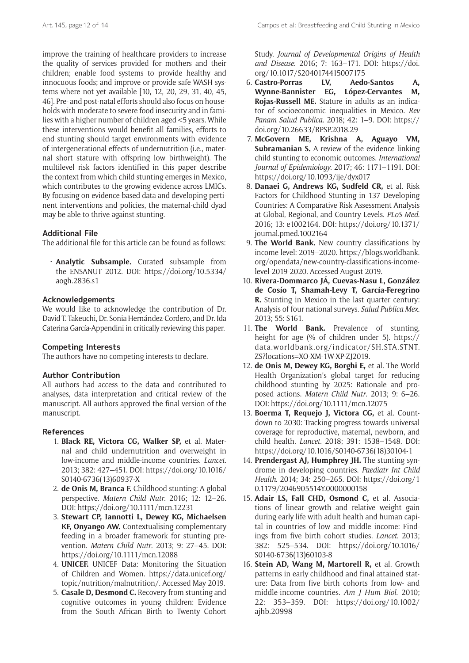improve the training of healthcare providers to increase the quality of services provided for mothers and their children; enable food systems to provide healthy and innocuous foods; and improve or provide safe WASH systems where not yet available [10, 12, 20, 29, 31, 40, 45, 46]. Pre- and post-natal efforts should also focus on households with moderate to severe food insecurity and in families with a higher number of children aged <5 years. While these interventions would benefit all families, efforts to end stunting should target environments with evidence of intergenerational effects of undernutrition (i.e., maternal short stature with offspring low birthweight). The multilevel risk factors identified in this paper describe the context from which child stunting emerges in Mexico, which contributes to the growing evidence across LMICs. By focusing on evidence-based data and developing pertinent interventions and policies, the maternal-child dyad may be able to thrive against stunting.

# **Additional File**

The additional file for this article can be found as follows:

• **Analytic Subsample.** Curated subsample from the ENSANUT 2012. DOI: [https://doi.org/10.5334/](https://doi.org/10.5334/aogh.2836.s1) [aogh.2836.s1](https://doi.org/10.5334/aogh.2836.s1)

# **Acknowledgements**

We would like to acknowledge the contribution of Dr. David T. Takeuchi, Dr. Sonia Hernández-Cordero, and Dr. Ida Caterina García-Appendini in critically reviewing this paper.

# **Competing Interests**

The authors have no competing interests to declare.

# **Author Contribution**

All authors had access to the data and contributed to analyses, data interpretation and critical review of the manuscript. All authors approved the final version of the manuscript.

# **References**

- 1. **Black RE, Victora CG, Walker SP,** et al. Maternal and child undernutrition and overweight in low-income and middle-income countries. *Lancet*. 2013; 382: 427–451. DOI: [https://doi.org/10.1016/](https://doi.org/10.1016/S0140-6736(13)60937-X) [S0140-6736\(13\)60937-X](https://doi.org/10.1016/S0140-6736(13)60937-X)
- 2. **de Onis M, Branca F.** Childhood stunting: A global perspective. *Matern Child Nutr*. 2016; 12: 12–26. DOI: <https://doi.org/10.1111/mcn.12231>
- 3. **Stewart CP, Iannotti L, Dewey KG, Michaelsen KF, Onyango AW.** Contextualising complementary feeding in a broader framework for stunting prevention. *Matern Child Nutr*. 2013; 9: 27–45. DOI: <https://doi.org/10.1111/mcn.12088>
- 4. **UNICEF.** UNICEF Data: Monitoring the Situation of Children and Women. [https://data.unicef.org/](https://data.unicef.org/topic/nutrition/malnutrition/) [topic/nutrition/malnutrition/.](https://data.unicef.org/topic/nutrition/malnutrition/) Accessed May 2019.
- 5. **Casale D, Desmond C.** Recovery from stunting and cognitive outcomes in young children: Evidence from the South African Birth to Twenty Cohort

Study. *Journal of Developmental Origins of Health and Disease*. 2016; 7: 163–171. DOI: [https://doi.](https://doi.org/10.1017/S2040174415007175) [org/10.1017/S2040174415007175](https://doi.org/10.1017/S2040174415007175)

- 6. **Castro-Porras LV, Aedo-Santos A, Wynne-Bannister EG, López-Cervantes M, Rojas-Russell ME.** Stature in adults as an indicator of socioeconomic inequalities in Mexico. *Rev Panam Salud Publica*. 2018; 42: 1–9. DOI: [https://](https://doi.org/10.26633/RPSP.2018.29) [doi.org/10.26633/RPSP.2018.29](https://doi.org/10.26633/RPSP.2018.29)
- 7. **McGovern ME, Krishna A, Aguayo VM, Subramanian S.** A review of the evidence linking child stunting to economic outcomes. *International Journal of Epidemiology*. 2017; 46: 1171–1191. DOI: <https://doi.org/10.1093/ije/dyx017>
- 8. **Danaei G, Andrews KG, Sudfeld CR,** et al. Risk Factors for Childhood Stunting in 137 Developing Countries: A Comparative Risk Assessment Analysis at Global, Regional, and Country Levels. *PLoS Med*. 2016; 13: e1002164. DOI: [https://doi.org/10.1371/](https://doi.org/10.1371/journal.pmed.1002164) [journal.pmed.1002164](https://doi.org/10.1371/journal.pmed.1002164)
- 9. **The World Bank.** New country classifications by income level: 2019–2020. [https://blogs.worldbank.](https://blogs.worldbank.org/opendata/new-country-classifications-income-level-2019-2020) [org/opendata/new-country-classifications-income](https://blogs.worldbank.org/opendata/new-country-classifications-income-level-2019-2020)[level-2019-2020](https://blogs.worldbank.org/opendata/new-country-classifications-income-level-2019-2020). Accessed August 2019.
- 10. **Rivera-Dommarco JÁ, Cuevas-Nasu L, González de Cosío T, Shamah-Levy T, García-Feregrino R.** Stunting in Mexico in the last quarter century: Analysis of four national surveys. *Salud Publica Mex*. 2013; 55: S161.
- 11. **The World Bank.** Prevalence of stunting, height for age (% of children under 5). [https://](https://data.worldbank.org/indicator/SH.STA.STNT.ZS?locations=XO-XM-1W-XP-ZJ2019) [data.worldbank.org/indicator/SH.STA.STNT.](https://data.worldbank.org/indicator/SH.STA.STNT.ZS?locations=XO-XM-1W-XP-ZJ2019) [ZS?locations=XO-XM-1W-XP-ZJ2019](https://data.worldbank.org/indicator/SH.STA.STNT.ZS?locations=XO-XM-1W-XP-ZJ2019).
- 12. **de Onis M, Dewey KG, Borghi E,** et al. The World Health Organization's global target for reducing childhood stunting by 2025: Rationale and proposed actions. *Matern Child Nutr*. 2013; 9: 6–26. DOI:<https://doi.org/10.1111/mcn.12075>
- 13. **Boerma T, Requejo J, Victora CG,** et al. Countdown to 2030: Tracking progress towards universal coverage for reproductive, maternal, newborn, and child health. *Lancet*. 2018; 391: 1538–1548. DOI: [https://doi.org/10.1016/S0140-6736\(18\)30104-1](https://doi.org/10.1016/S0140-6736(18)30104-1)
- 14. **Prendergast AJ, Humphrey JH.** The stunting syndrome in developing countries. *Paediatr Int Child Health*. 2014; 34: 250–265. DOI: [https://doi.org/1](https://doi.org/10.1179/2046905514Y.0000000158) [0.1179/2046905514Y.0000000158](https://doi.org/10.1179/2046905514Y.0000000158)
- 15. **Adair LS, Fall CHD, Osmond C,** et al. Associations of linear growth and relative weight gain during early life with adult health and human capital in countries of low and middle income: Findings from five birth cohort studies. *Lancet*. 2013; 382: 525–534. DOI: [https://doi.org/10.1016/](https://doi.org/10.1016/S0140-6736(13)60103-8) [S0140-6736\(13\)60103-8](https://doi.org/10.1016/S0140-6736(13)60103-8)
- 16. **Stein AD, Wang M, Martorell R,** et al. Growth patterns in early childhood and final attained stature: Data from five birth cohorts from low- and middle-income countries. *Am J Hum Biol*. 2010; 22: 353–359. DOI: [https://doi.org/10.1002/](https://doi.org/10.1002/ajhb.20998) [ajhb.20998](https://doi.org/10.1002/ajhb.20998)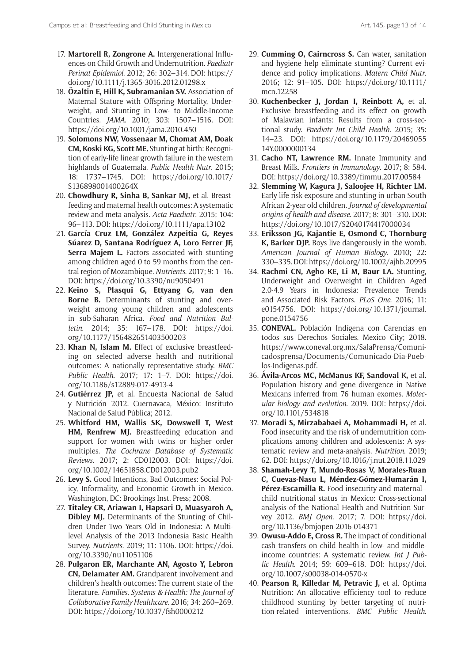- 17. **Martorell R, Zongrone A.** Intergenerational Influences on Child Growth and Undernutrition. *Paediatr Perinat Epidemiol*. 2012; 26: 302–314. DOI: [https://](https://doi.org/10.1111/j.1365-3016.2012.01298.x) [doi.org/10.1111/j.1365-3016.2012.01298.x](https://doi.org/10.1111/j.1365-3016.2012.01298.x)
- 18. **Özaltin E, Hill K, Subramanian SV.** Association of Maternal Stature with Offspring Mortality, Underweight, and Stunting in Low- to Middle-Income Countries. *JAMA*. 2010; 303: 1507–1516. DOI: [https://doi.org/10.1001/jama.2010.450](https://doi.org/10.1001/jama.2010.450 )
- 19. **Solomons NW, Vossenaar M, Chomat AM, Doak CM, Koski KG, Scott ME.** Stunting at birth: Recognition of early-life linear growth failure in the western highlands of Guatemala. *Public Health Nutr*. 2015; 18: 1737–1745. DOI: [https://doi.org/10.1017/](https://doi.org/10.1017/S136898001400264X) [S136898001400264X](https://doi.org/10.1017/S136898001400264X)
- 20. **Chowdhury R, Sinha B, Sankar MJ,** et al. Breastfeeding and maternal health outcomes: A systematic review and meta-analysis. *Acta Paediatr*. 2015; 104: 96–113. DOI: <https://doi.org/10.1111/apa.13102>
- 21. **García Cruz LM, González Azpeitia G, Reyes Súarez D, Santana Rodríguez A, Loro Ferrer JF, Serra Majem L.** Factors associated with stunting among children aged 0 to 59 months from the central region of Mozambique. *Nutrients*. 2017; 9: 1–16. DOI:<https://doi.org/10.3390/nu9050491>
- 22. **Keino S, Plasqui G, Ettyang G, van den Borne B.** Determinants of stunting and overweight among young children and adolescents in sub-Saharan Africa. *Food and Nutrition Bulletin*. 2014; 35: 167–178. DOI: [https://doi.](https://doi.org/10.1177/156482651403500203) [org/10.1177/156482651403500203](https://doi.org/10.1177/156482651403500203)
- 23. **Khan N, Islam M.** Effect of exclusive breastfeeding on selected adverse health and nutritional outcomes: A nationally representative study. *BMC Public Health*. 2017; 17: 1–7. DOI: [https://doi.](https://doi.org/10.1186/s12889-017-4913-4) [org/10.1186/s12889-017-4913-4](https://doi.org/10.1186/s12889-017-4913-4)
- 24. **Gutiérrez JP,** et al. Encuesta Nacional de Salud y Nutrición 2012. Cuernavaca, México: Instituto Nacional de Salud Pública; 2012.
- 25. **Whitford HM, Wallis SK, Dowswell T, West HM, Renfrew MJ.** Breastfeeding education and support for women with twins or higher order multiples. *The Cochrane Database of Systematic Reviews*. 2017; 2: CD012003. DOI: [https://doi.](https://doi.org/10.1002/14651858.CD012003.pub2) [org/10.1002/14651858.CD012003.pub2](https://doi.org/10.1002/14651858.CD012003.pub2)
- 26. **Levy S.** Good Intentions, Bad Outcomes: Social Policy, Informality, and Economic Growth in Mexico. Washington, DC: Brookings Inst. Press; 2008.
- 27. **Titaley CR, Ariawan I, Hapsari D, Muasyaroh A, Dibley MJ.** Determinants of the Stunting of Children Under Two Years Old in Indonesia: A Multilevel Analysis of the 2013 Indonesia Basic Health Survey. *Nutrients*. 2019; 11: 1106. DOI: [https://doi.](https://doi.org/10.3390/nu11051106) [org/10.3390/nu11051106](https://doi.org/10.3390/nu11051106)
- 28. **Pulgaron ER, Marchante AN, Agosto Y, Lebron CN, Delamater AM.** Grandparent involvement and children's health outcomes: The current state of the literature. *Families, Systems & Health: The Journal of Collaborative Family Healthcare*. 2016; 34: 260–269. DOI:<https://doi.org/10.1037/fsh0000212>
- 29. **Cumming O, Cairncross S.** Can water, sanitation and hygiene help eliminate stunting? Current evidence and policy implications. *Matern Child Nutr*. 2016; 12: 91–105. DOI: [https://doi.org/10.1111/](https://doi.org/10.1111/mcn.12258) [mcn.12258](https://doi.org/10.1111/mcn.12258)
- 30. **Kuchenbecker J, Jordan I, Reinbott A,** et al. Exclusive breastfeeding and its effect on growth of Malawian infants: Results from a cross-sectional study. *Paediatr Int Child Health*. 2015; 35: 14–23. DOI: [https://doi.org/10.1179/20469055](https://doi.org/10.1179/2046905514Y.0000000134) [14Y.0000000134](https://doi.org/10.1179/2046905514Y.0000000134)
- 31. **Cacho NT, Lawrence RM.** Innate Immunity and Breast Milk. *Frontiers in Immunology*. 2017; 8: 584. DOI: <https://doi.org/10.3389/fimmu.2017.00584>
- 32. **Slemming W, Kagura J, Saloojee H, Richter LM.** Early life risk exposure and stunting in urban South African 2-year old children. *Journal of developmental origins of health and disease*. 2017; 8: 301–310. DOI: <https://doi.org/10.1017/S2040174417000034>
- 33. **Eriksson JG, Kajantie E, Osmond C, Thornburg K, Barker DJP.** Boys live dangerously in the womb. *American Journal of Human Biology*. 2010; 22: 330–335. DOI:<https://doi.org/10.1002/ajhb.20995>
- 34. **Rachmi CN, Agho KE, Li M, Baur LA.** Stunting, Underweight and Overweight in Children Aged 2.0-4.9 Years in Indonesia: Prevalence Trends and Associated Risk Factors. *PLoS One*. 2016; 11: e0154756. DOI: [https://doi.org/10.1371/journal.](https://doi.org/10.1371/journal.pone.0154756) [pone.0154756](https://doi.org/10.1371/journal.pone.0154756)
- 35. **CONEVAL.** Población Indígena con Carencias en todos sus Derechos Sociales. Mexico City; 2018. [https://www.coneval.org.mx/SalaPrensa/Comuni](https://www.coneval.org.mx/SalaPrensa/Comunicadosprensa/Documents/Comunicado-Dia-Pueblos-Indigenas.pdf)[cadosprensa/Documents/Comunicado-Dia-Pueb](https://www.coneval.org.mx/SalaPrensa/Comunicadosprensa/Documents/Comunicado-Dia-Pueblos-Indigenas.pdf)[los-Indigenas.pdf](https://www.coneval.org.mx/SalaPrensa/Comunicadosprensa/Documents/Comunicado-Dia-Pueblos-Indigenas.pdf).
- 36. **Ávila-Arcos MC, McManus KF, Sandoval K,** et al. Population history and gene divergence in Native Mexicans inferred from 76 human exomes. *Molecular biology and evolution*. 2019. DOI: [https://doi.](https://doi.org/10.1101/534818) [org/10.1101/534818](https://doi.org/10.1101/534818)
- 37. **Moradi S, Mirzababaei A, Mohammadi H,** et al. Food insecurity and the risk of undernutrition complications among children and adolescents: A systematic review and meta-analysis. *Nutrition*. 2019; 62. DOI: <https://doi.org/10.1016/j.nut.2018.11.029>
- 38. **Shamah-Levy T, Mundo-Rosas V, Morales-Ruan C, Cuevas-Nasu L, Méndez-Gómez-Humarán I, Pérez-Escamilla R.** Food insecurity and maternal– child nutritional status in Mexico: Cross-sectional analysis of the National Health and Nutrition Survey 2012. *BMJ Open*. 2017; 7. DOI: [https://doi.](https://doi.org/10.1136/bmjopen-2016-014371) [org/10.1136/bmjopen-2016-014371](https://doi.org/10.1136/bmjopen-2016-014371)
- 39. **Owusu-Addo E, Cross R.** The impact of conditional cash transfers on child health in low- and middleincome countries: A systematic review. *Int J Public Health*. 2014; 59: 609–618. DOI: [https://doi.](https://doi.org/10.1007/s00038-014-0570-x ) [org/10.1007/s00038-014-0570-x](https://doi.org/10.1007/s00038-014-0570-x )
- 40. **Pearson R, Killedar M, Petravic J,** et al. Optima Nutrition: An allocative efficiency tool to reduce childhood stunting by better targeting of nutrition-related interventions. *BMC Public Health*.